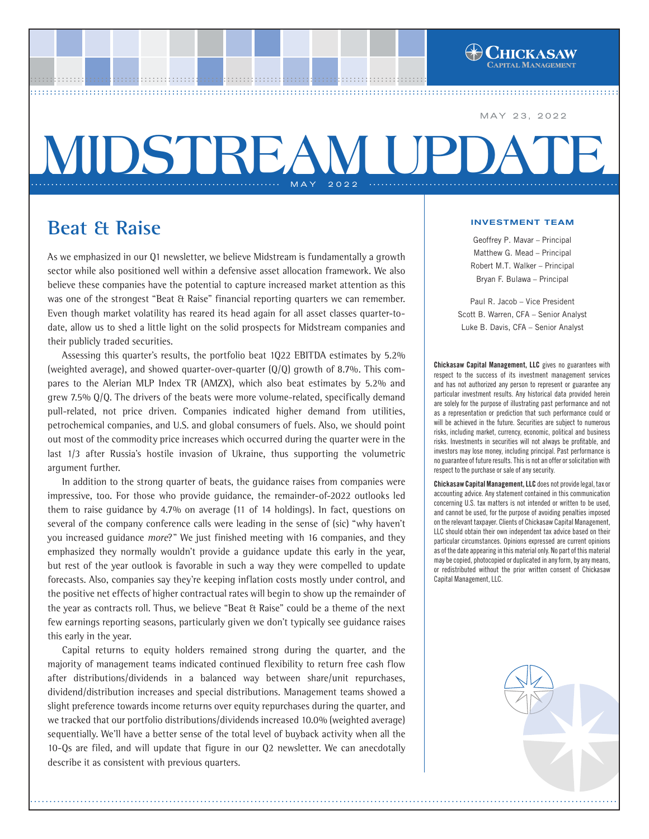MAY 23, 2022

APITAL MANAGEMENT

# .............................................................. MAY 2022 .............................................................. **MIDSTREAM UP**

................................................................................................ ..... ................................................................................................ ..... ................................................................................................ ...................................................... ................................................................................................ ......................................................

## **Beat & Raise**

As we emphasized in our Q1 newsletter, we believe Midstream is fundamentally a growth sector while also positioned well within a defensive asset allocation framework. We also believe these companies have the potential to capture increased market attention as this was one of the strongest "Beat & Raise" financial reporting quarters we can remember. Even though market volatility has reared its head again for all asset classes quarter-todate, allow us to shed a little light on the solid prospects for Midstream companies and their publicly traded securities.

Assessing this quarter's results, the portfolio beat 1Q22 EBITDA estimates by 5.2% (weighted average), and showed quarter-over-quarter (Q/Q) growth of 8.7%. This compares to the Alerian MLP Index TR (AMZX), which also beat estimates by 5.2% and grew 7.5% Q/Q. The drivers of the beats were more volume-related, specifically demand pull-related, not price driven. Companies indicated higher demand from utilities, petrochemical companies, and U.S. and global consumers of fuels. Also, we should point out most of the commodity price increases which occurred during the quarter were in the last 1/3 after Russia's hostile invasion of Ukraine, thus supporting the volumetric argument further.

In addition to the strong quarter of beats, the guidance raises from companies were impressive, too. For those who provide guidance, the remainder-of-2022 outlooks led them to raise guidance by 4.7% on average (11 of 14 holdings). In fact, questions on several of the company conference calls were leading in the sense of (sic) "why haven't you increased guidance *more?*" We just finished meeting with 16 companies, and they emphasized they normally wouldn't provide a guidance update this early in the year, but rest of the year outlook is favorable in such a way they were compelled to update forecasts. Also, companies say they're keeping inflation costs mostly under control, and the positive net effects of higher contractual rates will begin to show up the remainder of the year as contracts roll. Thus, we believe "Beat & Raise" could be a theme of the next few earnings reporting seasons, particularly given we don't typically see guidance raises this early in the year.

Capital returns to equity holders remained strong during the quarter, and the majority of management teams indicated continued flexibility to return free cash flow after distributions/dividends in a balanced way between share/unit repurchases, dividend/distribution increases and special distributions. Management teams showed a slight preference towards income returns over equity repurchases during the quarter, and we tracked that our portfolio distributions/dividends increased 10.0% (weighted average) sequentially. We'll have a better sense of the total level of buyback activity when all the 10-Qs are filed, and will update that figure in our Q2 newsletter. We can anecdotally describe it as consistent with previous quarters.

#### INVESTMENT TEAM

Geoffrey P. Mavar – Principal Matthew G. Mead – Principal Robert M.T. Walker – Principal Bryan F. Bulawa – Principal

Paul R. Jacob – Vice President Scott B. Warren, CFA – Senior Analyst Luke B. Davis, CFA – Senior Analyst

Chickasaw Capital Management, LLC gives no guarantees with respect to the success of its investment management services and has not authorized any person to represent or guarantee any particular investment results. Any historical data provided herein are solely for the purpose of illustrating past performance and not as a representation or prediction that such performance could or will be achieved in the future. Securities are subject to numerous risks, including market, currency, economic, political and business risks. Investments in securities will not always be profitable, and investors may lose money, including principal. Past performance is no guarantee of future results. This is not an offer or solicitation with respect to the purchase or sale of any security.

Chickasaw Capital Management, LLC does not provide legal, tax or accounting advice. Any statement contained in this communication concerning U.S. tax matters is not intended or written to be used, and cannot be used, for the purpose of avoiding penalties imposed on the relevant taxpayer. Clients of Chickasaw Capital Management, LLC should obtain their own independent tax advice based on their particular circumstances. Opinions expressed are current opinions as of the date appearing in this material only. No part of this material may be copied, photocopied or duplicated in any form, by any means, or redistributed without the prior written consent of Chickasaw Capital Management, LLC.

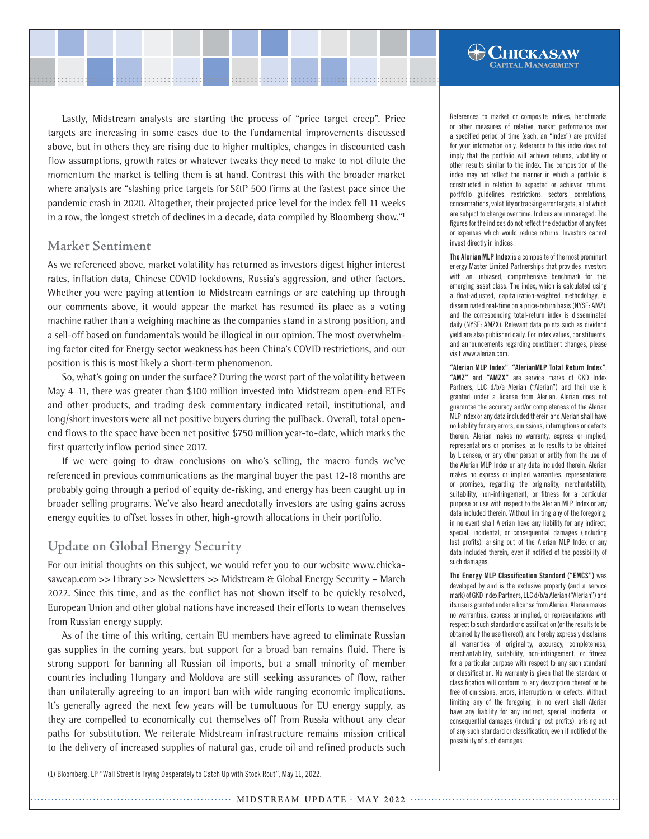Lastly, Midstream analysts are starting the process of "price target creep". Price targets are increasing in some cases due to the fundamental improvements discussed above, but in others they are rising due to higher multiples, changes in discounted cash flow assumptions, growth rates or whatever tweaks they need to make to not dilute the momentum the market is telling them is at hand. Contrast this with the broader market where analysts are "slashing price targets for S&P 500 firms at the fastest pace since the pandemic crash in 2020. Altogether, their projected price level for the index fell 11 weeks in a row, the longest stretch of declines in a decade, data compiled by Bloomberg show."**<sup>1</sup>**

........................................................................................................ ........................................................................................................

#### **Market Sentiment**

As we referenced above, market volatility has returned as investors digest higher interest rates, inflation data, Chinese COVID lockdowns, Russia's aggression, and other factors. Whether you were paying attention to Midstream earnings or are catching up through our comments above, it would appear the market has resumed its place as a voting machine rather than a weighing machine as the companies stand in a strong position, and a sell-off based on fundamentals would be illogical in our opinion. The most overwhelming factor cited for Energy sector weakness has been China's COVID restrictions, and our position is this is most likely a short-term phenomenon.

So, what's going on under the surface? During the worst part of the volatility between May 4–11, there was greater than \$100 million invested into Midstream open-end ETFs and other products, and trading desk commentary indicated retail, institutional, and long/short investors were all net positive buyers during the pullback. Overall, total openend flows to the space have been net positive \$750 million year-to-date, which marks the first quarterly inflow period since 2017.

If we were going to draw conclusions on who's selling, the macro funds we've referenced in previous communications as the marginal buyer the past 12-18 months are probably going through a period of equity de-risking, and energy has been caught up in broader selling programs. We've also heard anecdotally investors are using gains across energy equities to offset losses in other, high-growth allocations in their portfolio.

### **Update on Global Energy Security**

For our initial thoughts on this subject, we would refer you to our website www.chickasawcap.com >> Library >> Newsletters >> Midstream & Global Energy Security – March 2022. Since this time, and as the conflict has not shown itself to be quickly resolved, European Union and other global nations have increased their efforts to wean themselves from Russian energy supply.

As of the time of this writing, certain EU members have agreed to eliminate Russian gas supplies in the coming years, but support for a broad ban remains fluid. There is strong support for banning all Russian oil imports, but a small minority of member countries including Hungary and Moldova are still seeking assurances of flow, rather than unilaterally agreeing to an import ban with wide ranging economic implications. It's generally agreed the next few years will be tumultuous for EU energy supply, as they are compelled to economically cut themselves off from Russia without any clear paths for substitution. We reiterate Midstream infrastructure remains mission critical to the delivery of increased supplies of natural gas, crude oil and refined products such

(1) Bloomberg, LP "Wall Street Is Trying Desperately to Catch Up with Stock Rout", May 11, 2022.

References to market or composite indices, benchmarks or other measures of relative market performance over a specified period of time (each, an "index") are provided for your information only. Reference to this index does not imply that the portfolio will achieve returns, volatility or other results similar to the index. The composition of the index may not reflect the manner in which a portfolio is constructed in relation to expected or achieved returns, portfolio guidelines, restrictions, sectors, correlations, concentrations, volatility or tracking error targets, all of which are subject to change over time. Indices are unmanaged. The figures for the indices do not reflect the deduction of any fees or expenses which would reduce returns. Investors cannot invest directly in indices.

 $\bigoplus$ Chickasaw PITAL MANAGEMENT

The Alerian MLP Index is a composite of the most prominent energy Master Limited Partnerships that provides investors with an unbiased, comprehensive benchmark for this emerging asset class. The index, which is calculated using a float-adjusted, capitalization-weighted methodology, is disseminated real-time on a price-return basis (NYSE: AMZ), and the corresponding total-return index is disseminated daily (NYSE: AMZX). Relevant data points such as dividend yield are also published daily. For index values, constituents, and announcements regarding constituent changes, please visit www.alerian.com.

"Alerian MLP Index", "AlerianMLP Total Return Index", "AMZ" and "AMZX" are service marks of GKD Index Partners, LLC d/b/a Alerian ("Alerian") and their use is granted under a license from Alerian. Alerian does not guarantee the accuracy and/or completeness of the Alerian MLP Index or any data included therein and Alerian shall have no liability for any errors, omissions, interruptions or defects therein. Alerian makes no warranty, express or implied, representations or promises, as to results to be obtained by Licensee, or any other person or entity from the use of the Alerian MLP Index or any data included therein. Alerian makes no express or implied warranties, representations or promises, regarding the originality, merchantability, suitability, non-infringement, or fitness for a particular purpose or use with respect to the Alerian MLP Index or any data included therein. Without limiting any of the foregoing, in no event shall Alerian have any liability for any indirect, special, incidental, or consequential damages (including lost profits), arising out of the Alerian MLP Index or any data included therein, even if notified of the possibility of such damages.

The Energy MLP Classification Standard ("EMCS") was developed by and is the exclusive property (and a service mark) of GKD Index Partners, LLC d/b/a Alerian ("Alerian") and its use is granted under a license from Alerian. Alerian makes no warranties, express or implied, or representations with respect to such standard or classification (or the results to be obtained by the use thereof), and hereby expressly disclaims all warranties of originality, accuracy, completeness, merchantability, suitability, non-infringement, or fitness for a particular purpose with respect to any such standard or classification. No warranty is given that the standard or classification will conform to any description thereof or be free of omissions, errors, interruptions, or defects. Without limiting any of the foregoing, in no event shall Alerian have any liability for any indirect, special, incidental, or consequential damages (including lost profits), arising out of any such standard or classification, even if notified of the possibility of such damages.

.......................................................... **MIDSTREAM UPDATE** . **MAY <sup>2022</sup>** ............................................................